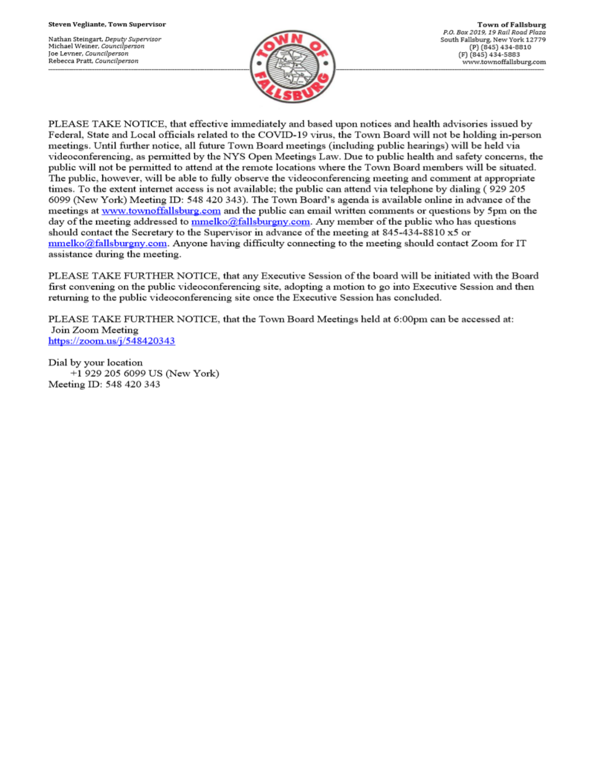Nathan Steingart, Deputy Supervisor Michael Weiner, Councilperson Joe Levner, Councilperson Rebecca Pratt, Councilperson



PLEASE TAKE NOTICE, that effective immediately and based upon notices and health advisories issued by Federal, State and Local officials related to the COVID-19 virus, the Town Board will not be holding in-person meetings. Until further notice, all future Town Board meetings (including public hearings) will be held via videoconferencing, as permitted by the NYS Open Meetings Law. Due to public health and safety concerns, the public will not be permitted to attend at the remote locations where the Town Board members will be situated. The public, however, will be able to fully observe the videoconferencing meeting and comment at appropriate times. To the extent internet access is not available; the public can attend via telephone by dialing (929 205 6099 (New York) Meeting ID: 548 420 343). The Town Board's agenda is available online in advance of the meetings at www.townoffallsburg.com and the public can email written comments or questions by 5pm on the day of the meeting addressed to  $\frac{mmelko@fallsburgny.com}{mclubluygny.com}$ . Any member of the public who has questions should contact the Secretary to the Supervisor in advance of the meeting at 845-434-8810 x5 or  $mmelko@fallsburgny.com$ . Anyone having difficulty connecting to the meeting should contact Zoom for IT assistance during the meeting.

PLEASE TAKE FURTHER NOTICE, that any Executive Session of the board will be initiated with the Board first convening on the public videoconferencing site, adopting a motion to go into Executive Session and then returning to the public videoconferencing site once the Executive Session has concluded.

PLEASE TAKE FURTHER NOTICE, that the Town Board Meetings held at 6:00pm can be accessed at: Join Zoom Meeting https://zoom.us/j/548420343

Dial by your location +1 929 205 6099 US (New York) Meeting ID: 548 420 343